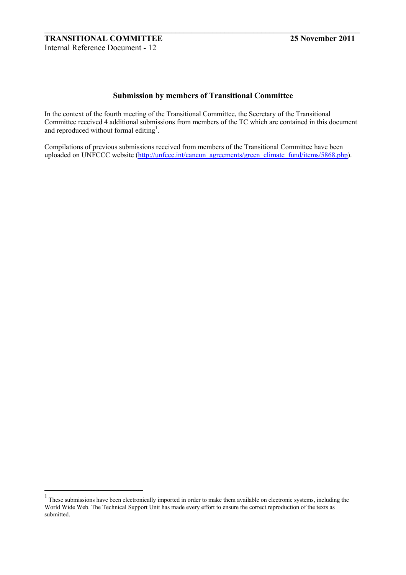$\overline{a}$ 

# **Submission by members of Transitional Committee**

 $\_$  , and the contribution of the contribution of  $\mathcal{L}_\mathcal{A}$  , and the contribution of  $\mathcal{L}_\mathcal{A}$ 

In the context of the fourth meeting of the Transitional Committee, the Secretary of the Transitional Committee received 4 additional submissions from members of the TC which are contained in this document and reproduced without formal editing<sup>1</sup>.

Compilations of previous submissions received from members of the Transitional Committee have been uploaded on UNFCCC website (http://unfccc.int/cancun\_agreements/green\_climate\_fund/items/5868.php).

 $1$  These submissions have been electronically imported in order to make them available on electronic systems, including the World Wide Web. The Technical Support Unit has made every effort to ensure the correct reproduction of the texts as submitted.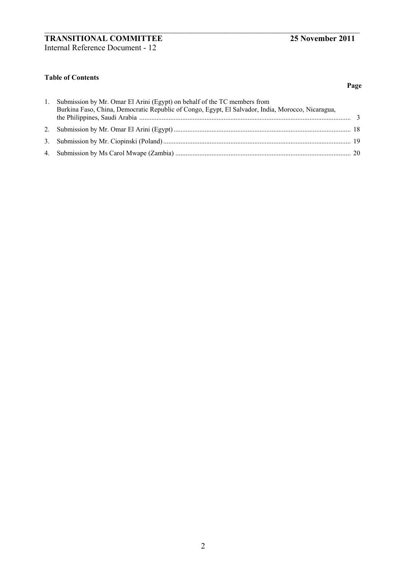**Page** 

# **Table of Contents**

| 1. Submission by Mr. Omar El Arini (Egypt) on behalf of the TC members from<br>Burkina Faso, China, Democratic Republic of Congo, Egypt, El Salvador, India, Morocco, Nicaragua, |  |
|----------------------------------------------------------------------------------------------------------------------------------------------------------------------------------|--|
|                                                                                                                                                                                  |  |
|                                                                                                                                                                                  |  |
|                                                                                                                                                                                  |  |

 $\_$  , and the contribution of the contribution of  $\mathcal{L}_\mathcal{A}$  , and the contribution of  $\mathcal{L}_\mathcal{A}$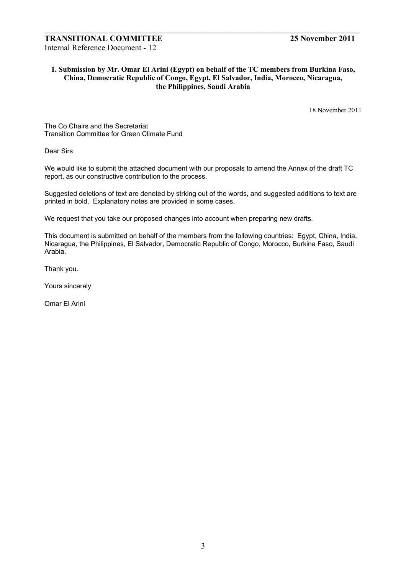# **1. Submission by Mr. Omar El Arini (Egypt) on behalf of the TC members from Burkina Faso, China, Democratic Republic of Congo, Egypt, El Salvador, India, Morocco, Nicaragua, the Philippines, Saudi Arabia**

 $\_$  , and the contribution of the contribution of  $\mathcal{L}_\mathcal{A}$  , and the contribution of  $\mathcal{L}_\mathcal{A}$ 

18 November 2011

The Co Chairs and the Secretariat Transition Committee for Green Climate Fund

Dear Sirs

We would like to submit the attached document with our proposals to amend the Annex of the draft TC report, as our constructive contribution to the process.

Suggested deletions of text are denoted by strking out of the words, and suggested additions to text are printed in bold. Explanatory notes are provided in some cases.

We request that you take our proposed changes into account when preparing new drafts.

This document is submitted on behalf of the members from the following countries: Egypt, China, India, Nicaragua, the Philippines, El Salvador, Democratic Republic of Congo, Morocco, Burkina Faso, Saudi Arabia.

Thank you.

Yours sincerely

Omar El Arini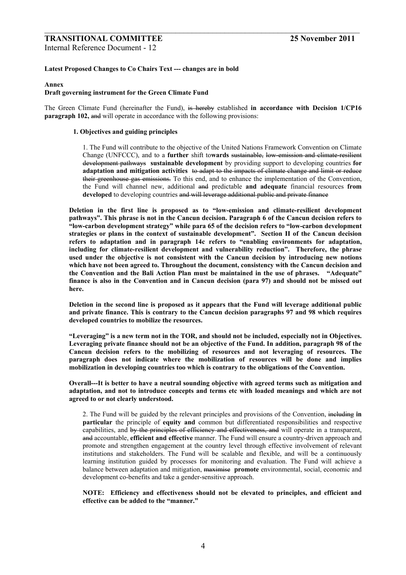# **TRANSITIONAL COMMITTEE 25 November 2011**

Internal Reference Document - 12

#### **Latest Proposed Changes to Co Chairs Text --- changes are in bold**

#### **Annex**

### **Draft governing instrument for the Green Climate Fund**

The Green Climate Fund (hereinafter the Fund), is hereby established **in accordance with Decision 1/CP16 paragraph 102, and** will operate in accordance with the following provisions:

 $\_$  , and the contribution of the contribution of  $\mathcal{L}_\mathcal{A}$  , and the contribution of  $\mathcal{L}_\mathcal{A}$ 

#### **1. Objectives and guiding principles**

1. The Fund will contribute to the objective of the United Nations Framework Convention on Climate Change (UNFCCC), and to a **further** shift to**wards** sustainable, low-emission and climate-resilient development pathways **sustainable development** by providing support to developing countries **for adaptation and mitigation activities** to adapt to the impacts of climate change and limit or reduce their greenhouse gas emissions. To this end, and to enhance the implementation of the Convention, the Fund will channel new, additional and predictable **and adequate** financial resources **from developed** to developing countries and will leverage additional public and private finance

Deletion in the first line is proposed as to "low-emission and climate-resilient development **pathwaysî. This phrase is not in the Cancun decision. Paragraph 6 of the Cancun decision refers to ìlow-carbon development strategyî while para 65 of the decision refers to ìlow-carbon development**  strategies or plans in the context of sustainable development". Section II of the Cancun decision refers to adaptation and in paragraph 14c refers to "enabling environments for adaptation, **including for climate-resilient development and vulnerability reductionî. Therefore, the phrase used under the objective is not consistent with the Cancun decision by introducing new notions which have not been agreed to. Throughout the document, consistency with the Cancun decision and**  the Convention and the Bali Action Plan must be maintained in the use of phrases. *Adequate* **finance is also in the Convention and in Cancun decision (para 97) and should not be missed out here.** 

**Deletion in the second line is proposed as it appears that the Fund will leverage additional public and private finance. This is contrary to the Cancun decision paragraphs 97 and 98 which requires developed countries to mobilize the resources.** 

**ìLeveragingî is a new term not in the TOR, and should not be included, especially not in Objectives. Leveraging private finance should not be an objective of the Fund. In addition, paragraph 98 of the Cancun decision refers to the mobilizing of resources and not leveraging of resources. The paragraph does not indicate where the mobilization of resources will be done and implies mobilization in developing countries too which is contrary to the obligations of the Convention.** 

**Overall---It is better to have a neutral sounding objective with agreed terms such as mitigation and adaptation, and not to introduce concepts and terms etc with loaded meanings and which are not agreed to or not clearly understood.** 

2. The Fund will be guided by the relevant principles and provisions of the Convention, including **in particular** the principle of **equity and** common but differentiated responsibilities and respective capabilities, and by the principles of efficiency and effectiveness, and will operate in a transparent, and accountable, **efficient and effective** manner. The Fund will ensure a country-driven approach and promote and strengthen engagement at the country level through effective involvement of relevant institutions and stakeholders. The Fund will be scalable and flexible, and will be a continuously learning institution guided by processes for monitoring and evaluation. The Fund will achieve a balance between adaptation and mitigation, maximise **promote** environmental, social, economic and development co-benefits and take a gender-sensitive approach.

**NOTE: Efficiency and effectiveness should not be elevated to principles, and efficient and effective can be added to the "manner."**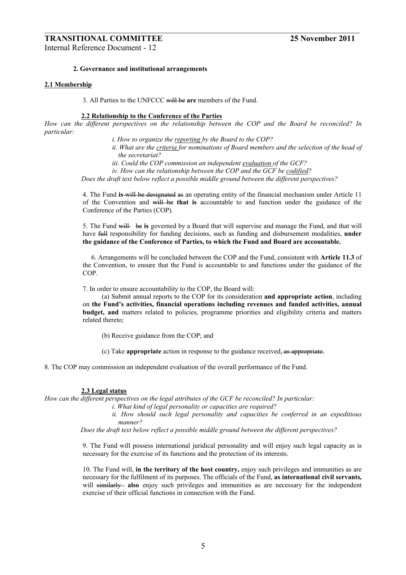# **TRANSITIONAL COMMITTEE 25 November 2011**

Internal Reference Document - 12

#### **2. Governance and institutional arrangements**

#### **2.1 Membership**

3. All Parties to the UNFCCC will be **are** members of the Fund.

#### **2.2 Relationship to the Conference of the Parties**

*How can the different perspectives on the relationship between the COP and the Board be reconciled? In particular:* 

 $\_$  , and the contribution of the contribution of  $\mathcal{L}_\mathcal{A}$  , and the contribution of  $\mathcal{L}_\mathcal{A}$ 

*i. How to organize the reporting by the Board to the COP?*  ii. What are the criteria for nominations of Board members and the selection of the head of *the secretariat? iii. Could the COP commission an independent evaluation of the GCF? iv. How can the relationship between the COP and the GCF be codified? Does the draft text below reflect a possible middle ground between the different perspectives?* 

4. The Fund **is** will be designated as an operating entity of the financial mechanism under Article 11 of the Convention and will be **that is** accountable to and function under the guidance of the Conference of the Parties (COP).

5. The Fund will be **is** governed by a Board that will supervise and manage the Fund, and that will have full responsibility for funding decisions, such as funding and disbursement modalities, **under the guidance of the Conference of Parties, to which the Fund and Board are accountable.** 

 6. Arrangements will be concluded between the COP and the Fund, consistent with **Article 11.3** of the Convention, to ensure that the Fund is accountable to and functions under the guidance of the COP.

7. In order to ensure accountability to the COP, the Board will:

(a) Submit annual reports to the COP for its consideration **and appropriate action**, including on **the Fundís activities, financial operations including revenues and funded activities, annual budget, and** matters related to policies, programme priorities and eligibility criteria and matters related thereto;

- (b) Receive guidance from the COP; and
- (c) Take **appropriate** action in response to the guidance received, as appropriate.

8. The COP may commission an independent evaluation of the overall performance of the Fund.

#### **2.3 Legal status**

*How can the different perspectives on the legal attributes of the GCF be reconciled? In particular:* 

- *i. What kind of legal personality or capacities are required?*
- *ii. How should such legal personality and capacities be conferred in an expeditious manner?*

*Does the draft text below reflect a possible middle ground between the different perspectives?* 

9. The Fund will possess international juridical personality and will enjoy such legal capacity as is necessary for the exercise of its functions and the protection of its interests.

10. The Fund will, **in the territory of the host country,** enjoy such privileges and immunities as are necessary for the fulfilment of its purposes. The officials of the Fund, **as international civil servants,** will similarly also enjoy such privileges and immunities as are necessary for the independent exercise of their official functions in connection with the Fund.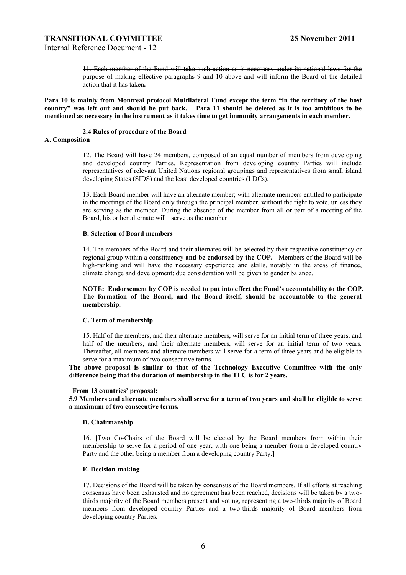11. Each member of the Fund will take such action as is necessary under its national laws for the purpose of making effective paragraphs 9 and 10 above and will inform the Board of the detailed action that it has taken**.** 

Para 10 is mainly from Montreal protocol Multilateral Fund except the term "in the territory of the host **countryî was left out and should be put back. Para 11 should be deleted as it is too ambitious to be mentioned as necessary in the instrument as it takes time to get immunity arrangements in each member.** 

 $\_$  , and the contribution of the contribution of  $\mathcal{L}_\mathcal{A}$  , and the contribution of  $\mathcal{L}_\mathcal{A}$ 

#### **2.4 Rules of procedure of the Board**

#### **A. Composition**

12. The Board will have 24 members, composed of an equal number of members from developing and developed country Parties. Representation from developing country Parties will include representatives of relevant United Nations regional groupings and representatives from small island developing States (SIDS) and the least developed countries (LDCs).

13. Each Board member will have an alternate member; with alternate members entitled to participate in the meetings of the Board only through the principal member, without the right to vote, unless they are serving as the member. During the absence of the member from all or part of a meeting of the Board, his or her alternate will serve as the member.

#### **B. Selection of Board members**

14. The members of the Board and their alternates will be selected by their respective constituency or regional group within a constituency **and be endorsed by the COP.** Members of the Board will be high-ranking and will have the necessary experience and skills, notably in the areas of finance, climate change and development; due consideration will be given to gender balance.

NOTE: Endorsement by COP is needed to put into effect the Fund's accountability to the COP. **The formation of the Board, and the Board itself, should be accountable to the general membership.** 

#### **C. Term of membership**

15. Half of the members, and their alternate members, will serve for an initial term of three years, and half of the members, and their alternate members, will serve for an initial term of two years. Thereafter, all members and alternate members will serve for a term of three years and be eligible to serve for a maximum of two consecutive terms.

**The above proposal is similar to that of the Technology Executive Committee with the only difference being that the duration of membership in the TEC is for 2 years.** 

#### **From 13 countries' proposal:**

**5.9 Members and alternate members shall serve for a term of two years and shall be eligible to serve a maximum of two consecutive terms.** 

#### **D. Chairmanship**

16. **[**Two Co-Chairs of the Board will be elected by the Board members from within their membership to serve for a period of one year, with one being a member from a developed country Party and the other being a member from a developing country Party.]

#### **E. Decision-making**

17. Decisions of the Board will be taken by consensus of the Board members. If all efforts at reaching consensus have been exhausted and no agreement has been reached, decisions will be taken by a twothirds majority of the Board members present and voting, representing a two-thirds majority of Board members from developed country Parties and a two-thirds majority of Board members from developing country Parties.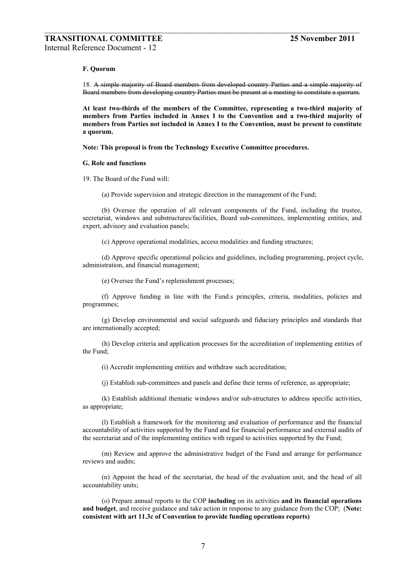#### **F. Quorum**

18. A simple majority of Board members from developed country Parties and a simple majority of Board members from developing country Parties must be present at a meeting to constitute a quorum.

 $\_$  , and the contribution of the contribution of  $\mathcal{L}_\mathcal{A}$  , and the contribution of  $\mathcal{L}_\mathcal{A}$ 

**At least two-thirds of the members of the Committee, representing a two-third majority of members from Parties included in Annex I to the Convention and a two-third majority of members from Parties not included in Annex I to the Convention, must be present to constitute a quorum.** 

**Note: This proposal is from the Technology Executive Committee procedures.** 

#### **G. Role and functions**

19. The Board of the Fund will:

(a) Provide supervision and strategic direction in the management of the Fund;

(b) Oversee the operation of all relevant components of the Fund, including the trustee, secretariat, windows and substructures/facilities, Board sub-committees, implementing entities, and expert, advisory and evaluation panels;

(c) Approve operational modalities, access modalities and funding structures;

(d) Approve specific operational policies and guidelines, including programming, project cycle, administration, and financial management;

(e) Oversee the Fund's replenishment processes;

(f) Approve funding in line with the Fund.s principles, criteria, modalities, policies and programmes;

(g) Develop environmental and social safeguards and fiduciary principles and standards that are internationally accepted;

(h) Develop criteria and application processes for the accreditation of implementing entities of the Fund;

(i) Accredit implementing entities and withdraw such accreditation;

(j) Establish sub-committees and panels and define their terms of reference, as appropriate;

(k) Establish additional thematic windows and/or sub-structures to address specific activities, as appropriate;

(l) Establish a framework for the monitoring and evaluation of performance and the financial accountability of activities supported by the Fund and for financial performance and external audits of the secretariat and of the implementing entities with regard to activities supported by the Fund;

(m) Review and approve the administrative budget of the Fund and arrange for performance reviews and audits;

(n) Appoint the head of the secretariat, the head of the evaluation unit, and the head of all accountability units;

(o) Prepare annual reports to the COP **including** on its activities **and its financial operations and budget**, and receive guidance and take action in response to any guidance from the COP; (**Note: consistent with art 11.3c of Convention to provide funding operations reports)**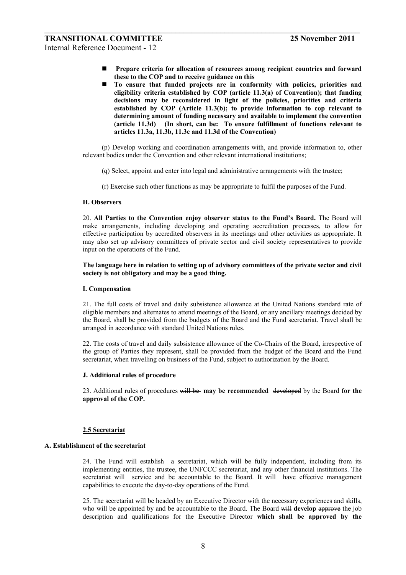! **Prepare criteria for allocation of resources among recipient countries and forward these to the COP and to receive guidance on this** 

 $\_$  , and the contribution of the contribution of  $\mathcal{L}_\mathcal{A}$  , and the contribution of  $\mathcal{L}_\mathcal{A}$ 

! **To ensure that funded projects are in conformity with policies, priorities and eligibility criteria established by COP (article 11.3(a) of Convention); that funding decisions may be reconsidered in light of the policies, priorities and criteria established by COP (Article 11.3(b); to provide information to cop relevant to determining amount of funding necessary and available to implement the convention (article 11.3d) (In short, can be: To ensure fulfillment of functions relevant to articles 11.3a, 11.3b, 11.3c and 11.3d of the Convention)** 

(p) Develop working and coordination arrangements with, and provide information to, other relevant bodies under the Convention and other relevant international institutions;

- (q) Select, appoint and enter into legal and administrative arrangements with the trustee;
- (r) Exercise such other functions as may be appropriate to fulfil the purposes of the Fund.

#### **H. Observers**

20. **All Parties to the Convention enjoy observer status to the Fundís Board.** The Board will make arrangements, including developing and operating accreditation processes, to allow for effective participation by accredited observers in its meetings and other activities as appropriate. It may also set up advisory committees of private sector and civil society representatives to provide input on the operations of the Fund.

#### **The language here in relation to setting up of advisory committees of the private sector and civil society is not obligatory and may be a good thing.**

#### **I. Compensation**

21. The full costs of travel and daily subsistence allowance at the United Nations standard rate of eligible members and alternates to attend meetings of the Board, or any ancillary meetings decided by the Board, shall be provided from the budgets of the Board and the Fund secretariat. Travel shall be arranged in accordance with standard United Nations rules.

22. The costs of travel and daily subsistence allowance of the Co-Chairs of the Board, irrespective of the group of Parties they represent, shall be provided from the budget of the Board and the Fund secretariat, when travelling on business of the Fund, subject to authorization by the Board.

#### **J. Additional rules of procedure**

23. Additional rules of procedures will be **may be recommended** developed by the Board **for the approval of the COP.** 

#### **2.5 Secretariat**

# **A. Establishment of the secretariat**

24. The Fund will establish a secretariat, which will be fully independent, including from its implementing entities, the trustee, the UNFCCC secretariat, and any other financial institutions. The secretariat will service and be accountable to the Board. It will have effective management capabilities to execute the day-to-day operations of the Fund.

25. The secretariat will be headed by an Executive Director with the necessary experiences and skills, who will be appointed by and be accountable to the Board. The Board will **develop** approve the job description and qualifications for the Executive Director **which shall be approved by the**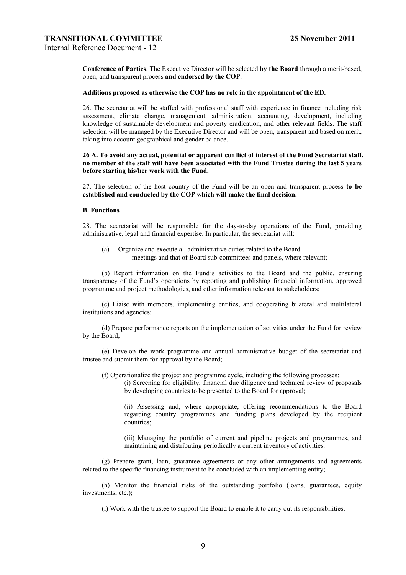**Conference of Parties**. The Executive Director will be selected **by the Board** through a merit-based, open, and transparent process **and endorsed by the COP**.

#### **Additions proposed as otherwise the COP has no role in the appointment of the ED.**

 $\_$  , and the contribution of the contribution of  $\mathcal{L}_\mathcal{A}$  , and the contribution of  $\mathcal{L}_\mathcal{A}$ 

26. The secretariat will be staffed with professional staff with experience in finance including risk assessment, climate change, management, administration, accounting, development, including knowledge of sustainable development and poverty eradication, and other relevant fields. The staff selection will be managed by the Executive Director and will be open, transparent and based on merit, taking into account geographical and gender balance.

#### **26 A. To avoid any actual, potential or apparent conflict of interest of the Fund Secretariat staff, no member of the staff will have been associated with the Fund Trustee during the last 5 years before starting his/her work with the Fund.**

27. The selection of the host country of the Fund will be an open and transparent process **to be established and conducted by the COP which will make the final decision.** 

#### **B. Functions**

28. The secretariat will be responsible for the day-to-day operations of the Fund, providing administrative, legal and financial expertise. In particular, the secretariat will:

(a) Organize and execute all administrative duties related to the Board meetings and that of Board sub-committees and panels, where relevant;

(b) Report information on the Fundís activities to the Board and the public, ensuring transparency of the Fund's operations by reporting and publishing financial information, approved programme and project methodologies, and other information relevant to stakeholders;

(c) Liaise with members, implementing entities, and cooperating bilateral and multilateral institutions and agencies;

(d) Prepare performance reports on the implementation of activities under the Fund for review by the Board;

(e) Develop the work programme and annual administrative budget of the secretariat and trustee and submit them for approval by the Board;

(f) Operationalize the project and programme cycle, including the following processes:

(i) Screening for eligibility, financial due diligence and technical review of proposals by developing countries to be presented to the Board for approval;

(ii) Assessing and, where appropriate, offering recommendations to the Board regarding country programmes and funding plans developed by the recipient countries;

(iii) Managing the portfolio of current and pipeline projects and programmes, and maintaining and distributing periodically a current inventory of activities.

(g) Prepare grant, loan, guarantee agreements or any other arrangements and agreements related to the specific financing instrument to be concluded with an implementing entity;

(h) Monitor the financial risks of the outstanding portfolio (loans, guarantees, equity investments, etc.);

(i) Work with the trustee to support the Board to enable it to carry out its responsibilities;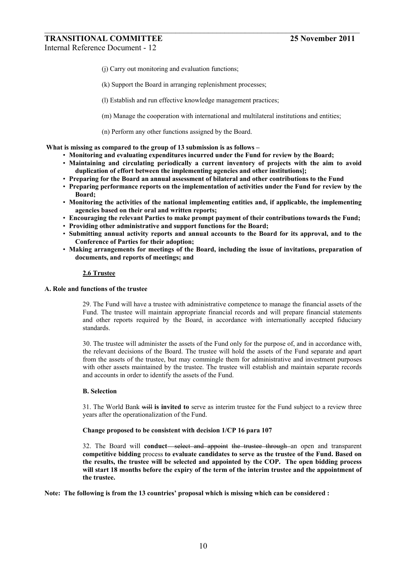- (j) Carry out monitoring and evaluation functions;
- (k) Support the Board in arranging replenishment processes;
- (l) Establish and run effective knowledge management practices;

 $\_$  , and the contribution of the contribution of  $\mathcal{L}_\mathcal{A}$  , and the contribution of  $\mathcal{L}_\mathcal{A}$ 

- (m) Manage the cooperation with international and multilateral institutions and entities;
- (n) Perform any other functions assigned by the Board.

What is missing as compared to the group of 13 submission is as follows –

- ï **Monitoring and evaluating expenditures incurred under the Fund for review by the Board;**
- ï **Maintaining and circulating periodically a current inventory of projects with the aim to avoid duplication of effort between the implementing agencies and other institutions];**
- ï **Preparing for the Board an annual assessment of bilateral and other contributions to the Fund**
- ï **Preparing performance reports on the implementation of activities under the Fund for review by the Board;**
- ï **Monitoring the activities of the national implementing entities and, if applicable, the implementing agencies based on their oral and written reports;**
- **Encouraging the relevant Parties to make prompt payment of their contributions towards the Fund;**
- ï **Providing other administrative and support functions for the Board;**
- ï **Submitting annual activity reports and annual accounts to the Board for its approval, and to the Conference of Parties for their adoption;**
- ï **Making arrangements for meetings of the Board, including the issue of invitations, preparation of documents, and reports of meetings; and**

#### **2.6 Trustee**

#### **A. Role and functions of the trustee**

29. The Fund will have a trustee with administrative competence to manage the financial assets of the Fund. The trustee will maintain appropriate financial records and will prepare financial statements and other reports required by the Board, in accordance with internationally accepted fiduciary standards.

30. The trustee will administer the assets of the Fund only for the purpose of, and in accordance with, the relevant decisions of the Board. The trustee will hold the assets of the Fund separate and apart from the assets of the trustee, but may commingle them for administrative and investment purposes with other assets maintained by the trustee. The trustee will establish and maintain separate records and accounts in order to identify the assets of the Fund.

#### **B. Selection**

31. The World Bank will **is invited to** serve as interim trustee for the Fund subject to a review three years after the operationalization of the Fund.

#### **Change proposed to be consistent with decision 1/CP 16 para 107**

32. The Board will **conduct** select and appoint the trustee through an open and transparent **competitive bidding** process **to evaluate candidates to serve as the trustee of the Fund. Based on the results, the trustee will be selected and appointed by the COP. The open bidding process will start 18 months before the expiry of the term of the interim trustee and the appointment of the trustee.** 

Note: The following is from the 13 countries' proposal which is missing which can be considered :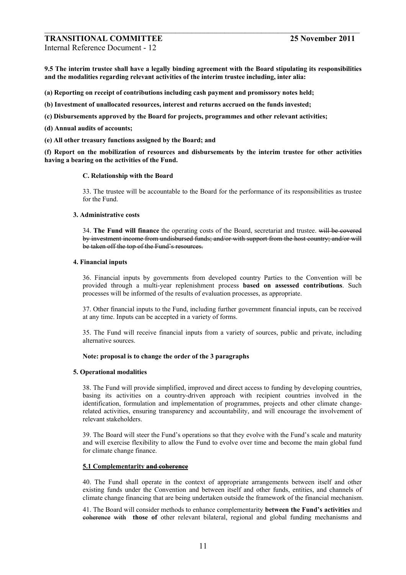# **TRANSITIONAL COMMITTEE 25 November 2011**

Internal Reference Document - 12

**9.5 The interim trustee shall have a legally binding agreement with the Board stipulating its responsibilities and the modalities regarding relevant activities of the interim trustee including, inter alia:** 

 $\_$  , and the contribution of the contribution of  $\mathcal{L}_\mathcal{A}$  , and the contribution of  $\mathcal{L}_\mathcal{A}$ 

- **(a) Reporting on receipt of contributions including cash payment and promissory notes held;**
- **(b) Investment of unallocated resources, interest and returns accrued on the funds invested;**
- **(c) Disbursements approved by the Board for projects, programmes and other relevant activities;**
- **(d) Annual audits of accounts;**
- **(e) All other treasury functions assigned by the Board; and**

**(f) Report on the mobilization of resources and disbursements by the interim trustee for other activities having a bearing on the activities of the Fund.** 

#### **C. Relationship with the Board**

33. The trustee will be accountable to the Board for the performance of its responsibilities as trustee for the Fund.

#### **3. Administrative costs**

34. **The Fund will finance** the operating costs of the Board, secretariat and trustee. will be covered by investment income from undisbursed funds; and/or with support from the host country; and/or will be taken off the top of the Fund's resources.

#### **4. Financial inputs**

36. Financial inputs by governments from developed country Parties to the Convention will be provided through a multi-year replenishment process **based on assessed contributions**. Such processes will be informed of the results of evaluation processes, as appropriate.

37. Other financial inputs to the Fund, including further government financial inputs, can be received at any time. Inputs can be accepted in a variety of forms.

35. The Fund will receive financial inputs from a variety of sources, public and private, including alternative sources.

#### **Note: proposal is to change the order of the 3 paragraphs**

#### **5. Operational modalities**

38. The Fund will provide simplified, improved and direct access to funding by developing countries, basing its activities on a country-driven approach with recipient countries involved in the identification, formulation and implementation of programmes, projects and other climate changerelated activities, ensuring transparency and accountability, and will encourage the involvement of relevant stakeholders.

39. The Board will steer the Fund's operations so that they evolve with the Fund's scale and maturity and will exercise flexibility to allow the Fund to evolve over time and become the main global fund for climate change finance.

### **5.1 Complementarity and coherence**

40. The Fund shall operate in the context of appropriate arrangements between itself and other existing funds under the Convention and between itself and other funds, entities, and channels of climate change financing that are being undertaken outside the framework of the financial mechanism.

41. The Board will consider methods to enhance complementarity **between the Fundís activities** and coherence with **those of** other relevant bilateral, regional and global funding mechanisms and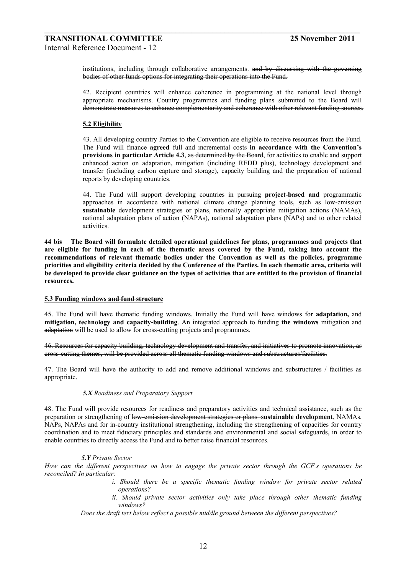institutions, including through collaborative arrangements. and by discussing with the governing bodies of other funds options for integrating their operations into the Fund.

 $\_$  , and the contribution of the contribution of  $\mathcal{L}_\mathcal{A}$  , and the contribution of  $\mathcal{L}_\mathcal{A}$ 

42. Recipient countries will enhance coherence in programming at the national level through appropriate mechanisms. Country programmes and funding plans submitted to the Board will demonstrate measures to enhance complementarity and coherence with other relevant funding sources.

#### **5.2 Eligibility**

43. All developing country Parties to the Convention are eligible to receive resources from the Fund. The Fund will finance **agreed** full and incremental costs **in accordance with the Conventionís provisions in particular Article 4.3, as determined by the Board, for activities to enable and support** enhanced action on adaptation, mitigation (including REDD plus), technology development and transfer (including carbon capture and storage), capacity building and the preparation of national reports by developing countries.

44. The Fund will support developing countries in pursuing **project-based and** programmatic approaches in accordance with national climate change planning tools, such as low-emission **sustainable** development strategies or plans, nationally appropriate mitigation actions (NAMAs), national adaptation plans of action (NAPAs), national adaptation plans (NAPs) and to other related activities.

**44 bis The Board will formulate detailed operational guidelines for plans, programmes and projects that are eligible for funding in each of the thematic areas covered by the Fund, taking into account the recommendations of relevant thematic bodies under the Convention as well as the policies, programme priorities and eligibility criteria decided by the Conference of the Parties. In each thematic area, criteria will be developed to provide clear guidance on the types of activities that are entitled to the provision of financial resources.** 

#### **5.3 Funding windows and fund structure**

45. The Fund will have thematic funding windows. Initially the Fund will have windows for **adaptation,** and **mitigation, technology and capacity-building**. An integrated approach to funding **the windows** mitigation and adaptation will be used to allow for cross-cutting projects and programmes.

46. Resources for capacity building, technology development and transfer, and initiatives to promote innovation, as cross-cutting themes, will be provided across all thematic funding windows and substructures/facilities.

47. The Board will have the authority to add and remove additional windows and substructures / facilities as appropriate.

#### *5.X Readiness and Preparatory Support*

48. The Fund will provide resources for readiness and preparatory activities and technical assistance, such as the preparation or strengthening of low-emission development strategies or plans **sustainable development**, NAMAs, NAPs, NAPAs and for in-country institutional strengthening, including the strengthening of capacities for country coordination and to meet fiduciary principles and standards and environmental and social safeguards, in order to enable countries to directly access the Fund and to better raise financial resources.

#### *5.Y Private Sector*

*How can the different perspectives on how to engage the private sector through the GCF.s operations be reconciled? In particular:* 

- *i. Should there be a specific thematic funding window for private sector related operations?*
- *ii. Should private sector activities only take place through other thematic funding windows?*

*Does the draft text below reflect a possible middle ground between the different perspectives?*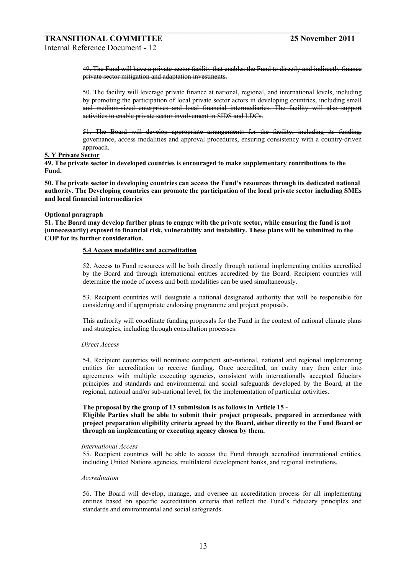49. The Fund will have a private sector facility that enables the Fund to directly and indirectly finance private sector mitigation and adaptation investments.

 $\_$  , and the contribution of the contribution of  $\mathcal{L}_\mathcal{A}$  , and the contribution of  $\mathcal{L}_\mathcal{A}$ 

50. The facility will leverage private finance at national, regional, and international levels, including by promoting the participation of local private sector actors in developing countries, including small and medium-sized enterprises and local financial intermediaries. The facility will also support activities to enable private sector involvement in SIDS and LDCs.

51. The Board will develop appropriate arrangements for the facility, including its funding, governance, access modalities and approval procedures, ensuring consistency with a country-driven approach.

#### **5. Y Private Sector**

**49. The private sector in developed countries is encouraged to make supplementary contributions to the Fund.** 

**50. The private sector in developing countries can access the Fundís resources through its dedicated national authority. The Developing countries can promote the participation of the local private sector including SMEs and local financial intermediaries** 

#### **Optional paragraph**

**51. The Board may develop further plans to engage with the private sector, while ensuring the fund is not (unnecessarily) exposed to financial risk, vulnerability and instability. These plans will be submitted to the COP for its further consideration.** 

#### **5.4 Access modalities and accreditation**

52. Access to Fund resources will be both directly through national implementing entities accredited by the Board and through international entities accredited by the Board. Recipient countries will determine the mode of access and both modalities can be used simultaneously.

53. Recipient countries will designate a national designated authority that will be responsible for considering and if appropriate endorsing programme and project proposals.

This authority will coordinate funding proposals for the Fund in the context of national climate plans and strategies, including through consultation processes.

#### *Direct Access*

54. Recipient countries will nominate competent sub-national, national and regional implementing entities for accreditation to receive funding. Once accredited, an entity may then enter into agreements with multiple executing agencies, consistent with internationally accepted fiduciary principles and standards and environmental and social safeguards developed by the Board, at the regional, national and/or sub-national level, for the implementation of particular activities.

#### **The proposal by the group of 13 submission is as follows in Article 15 -**

**Eligible Parties shall be able to submit their project proposals, prepared in accordance with project preparation eligibility criteria agreed by the Board, either directly to the Fund Board or through an implementing or executing agency chosen by them.** 

#### *International Access*

55. Recipient countries will be able to access the Fund through accredited international entities, including United Nations agencies, multilateral development banks, and regional institutions.

#### *Accreditation*

56. The Board will develop, manage, and oversee an accreditation process for all implementing entities based on specific accreditation criteria that reflect the Fundís fiduciary principles and standards and environmental and social safeguards.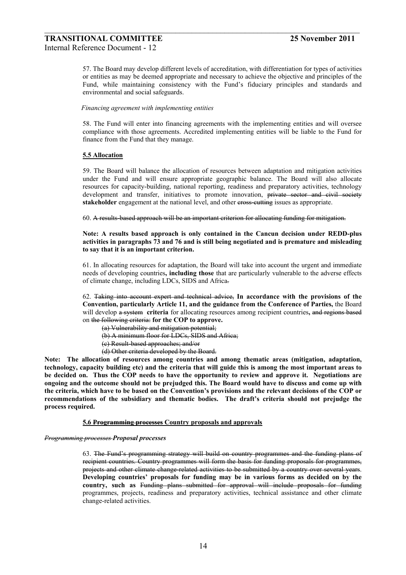57. The Board may develop different levels of accreditation, with differentiation for types of activities or entities as may be deemed appropriate and necessary to achieve the objective and principles of the Fund, while maintaining consistency with the Fund's fiduciary principles and standards and environmental and social safeguards.

 $\_$  , and the contribution of the contribution of  $\mathcal{L}_\mathcal{A}$  , and the contribution of  $\mathcal{L}_\mathcal{A}$ 

#### *Financing agreement with implementing entities*

58. The Fund will enter into financing agreements with the implementing entities and will oversee compliance with those agreements. Accredited implementing entities will be liable to the Fund for finance from the Fund that they manage.

#### **5.5 Allocation**

59. The Board will balance the allocation of resources between adaptation and mitigation activities under the Fund and will ensure appropriate geographic balance. The Board will also allocate resources for capacity-building, national reporting, readiness and preparatory activities, technology development and transfer, initiatives to promote innovation, private sector and civil society **stakeholder** engagement at the national level, and other cross-cutting issues as appropriate.

60. A results-based approach will be an important criterion for allocating funding for mitigation.

#### **Note: A results based approach is only contained in the Cancun decision under REDD-plus activities in paragraphs 73 and 76 and is still being negotiated and is premature and misleading to say that it is an important criterion.**

61. In allocating resources for adaptation, the Board will take into account the urgent and immediate needs of developing countries**, including those** that are particularly vulnerable to the adverse effects of climate change, including LDCs, SIDS and Africa.

62. Taking into account expert and technical advice, **In accordance with the provisions of the Convention, particularly Article 11, and the guidance from the Conference of Parties,** the Board will develop a system **criteria** for allocating resources among recipient countries**,** and regions based on the following criteria: **for the COP to approve.**

(a) Vulnerability and mitigation potential;

(b) A minimum floor for LDCs, SIDS and Africa;

(c) Result-based approaches; and/or

(d) Other criteria developed by the Board.

**Note: The allocation of resources among countries and among thematic areas (mitigation, adaptation, technology, capacity building etc) and the criteria that will guide this is among the most important areas to be decided on. Thus the COP needs to have the opportunity to review and approve it. Negotiations are ongoing and the outcome should not be prejudged this. The Board would have to discuss and come up with the criteria, which have to be based on the Conventionís provisions and the relevant decisions of the COP or**  recommendations of the subsidiary and thematic bodies. The draft's criteria should not prejudge the **process required.** 

#### **5.6 Programming processes Country proposals and approvals**

#### *Programming processes Proposal processes*

63. The Fundís programming strategy will build on country programmes and the funding plans of recipient countries. Country programmes will form the basis for funding proposals for programmes, projects and other climate change related activities to be submitted by a country over several years. Developing countries' proposals for funding may be in various forms as decided on by the **country, such as** Funding plans submitted for approval will include proposals for funding programmes, projects, readiness and preparatory activities, technical assistance and other climate change-related activities.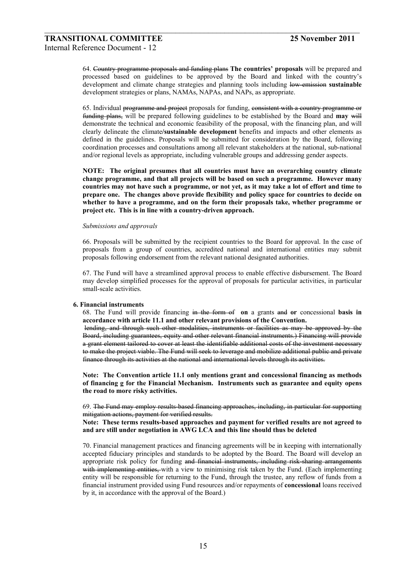64. Country programme proposals and funding plans **The countriesí proposals** will be prepared and processed based on guidelines to be approved by the Board and linked with the countryís development and climate change strategies and planning tools including low-emission **sustainable**  development strategies or plans, NAMAs, NAPAs, and NAPs, as appropriate.

 $\_$  , and the contribution of the contribution of  $\mathcal{L}_\mathcal{A}$  , and the contribution of  $\mathcal{L}_\mathcal{A}$ 

65. Individual programme and project proposals for funding, consistent with a country programme or funding plans, will be prepared following guidelines to be established by the Board and **may** will demonstrate the technical and economic feasibility of the proposal, with the financing plan, and will clearly delineate the climate**/sustainable development** benefits and impacts and other elements as defined in the guidelines. Proposals will be submitted for consideration by the Board, following coordination processes and consultations among all relevant stakeholders at the national, sub-national and/or regional levels as appropriate, including vulnerable groups and addressing gender aspects.

**NOTE: The original presumes that all countries must have an overarching country climate change programme, and that all projects will be based on such a programme. However many countries may not have such a programme, or not yet, as it may take a lot of effort and time to prepare one. The changes above provide flexibility and policy space for countries to decide on whether to have a programme, and on the form their proposals take, whether programme or project etc. This is in line with a country-driven approach.** 

#### *Submissions and approvals*

66. Proposals will be submitted by the recipient countries to the Board for approval. In the case of proposals from a group of countries, accredited national and international entities may submit proposals following endorsement from the relevant national designated authorities.

67. The Fund will have a streamlined approval process to enable effective disbursement. The Board may develop simplified processes for the approval of proposals for particular activities, in particular small-scale activities.

#### **6. Financial instruments**

68. The Fund will provide financing in the form of **on** a grants and **or** concessional **basis in accordance with article 11.1 and other relevant provisions of the Convention.** 

lending, and through such other modalities, instruments or facilities as may be approved by the Board, including guarantees, equity and other relevant financial instruments.) Financing will provide a grant element tailored to cover at least the identifiable additional costs of the investment necessary to make the project viable. The Fund will seek to leverage and mobilize additional public and private finance through its activities at the national and international levels through its activities.

**Note: The Convention article 11.1 only mentions grant and concessional financing as methods of financing g for the Financial Mechanism. Instruments such as guarantee and equity opens the road to more risky activities.** 

69. The Fund may employ results-based financing approaches, including, in particular for supporting mitigation actions, payment for verified results.

**Note: These terms results-based approaches and payment for verified results are not agreed to and are still under negotiation in AWG LCA and this line should thus be deleted** 

70. Financial management practices and financing agreements will be in keeping with internationally accepted fiduciary principles and standards to be adopted by the Board. The Board will develop an appropriate risk policy for funding and financial instruments, including risk sharing arrangements with implementing entities, with a view to minimising risk taken by the Fund. (Each implementing entity will be responsible for returning to the Fund, through the trustee, any reflow of funds from a financial instrument provided using Fund resources and/or repayments of **concessional** loans received by it, in accordance with the approval of the Board.)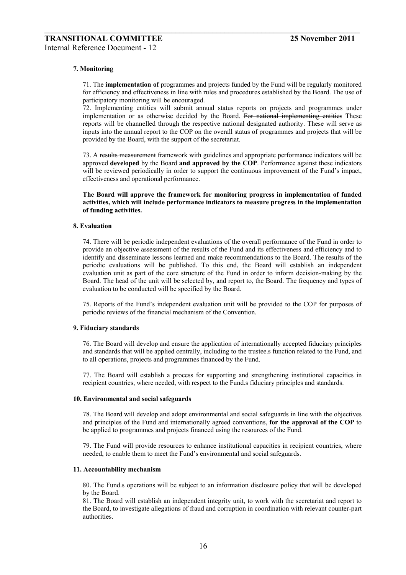#### **7. Monitoring**

71. The **implementation of** programmes and projects funded by the Fund will be regularly monitored for efficiency and effectiveness in line with rules and procedures established by the Board. The use of participatory monitoring will be encouraged.

 $\_$  , and the contribution of the contribution of  $\mathcal{L}_\mathcal{A}$  , and the contribution of  $\mathcal{L}_\mathcal{A}$ 

72. Implementing entities will submit annual status reports on projects and programmes under implementation or as otherwise decided by the Board. For national implementing entities These reports will be channelled through the respective national designated authority. These will serve as inputs into the annual report to the COP on the overall status of programmes and projects that will be provided by the Board, with the support of the secretariat.

73. A results measurement framework with guidelines and appropriate performance indicators will be approved **developed** by the Board **and approved by the COP**. Performance against these indicators will be reviewed periodically in order to support the continuous improvement of the Fund's impact, effectiveness and operational performance.

**The Board will approve the framework for monitoring progress in implementation of funded activities, which will include performance indicators to measure progress in the implementation of funding activities.** 

#### **8. Evaluation**

74. There will be periodic independent evaluations of the overall performance of the Fund in order to provide an objective assessment of the results of the Fund and its effectiveness and efficiency and to identify and disseminate lessons learned and make recommendations to the Board. The results of the periodic evaluations will be published. To this end, the Board will establish an independent evaluation unit as part of the core structure of the Fund in order to inform decision-making by the Board. The head of the unit will be selected by, and report to, the Board. The frequency and types of evaluation to be conducted will be specified by the Board.

75. Reports of the Fundís independent evaluation unit will be provided to the COP for purposes of periodic reviews of the financial mechanism of the Convention.

#### **9. Fiduciary standards**

76. The Board will develop and ensure the application of internationally accepted fiduciary principles and standards that will be applied centrally, including to the trustee.s function related to the Fund, and to all operations, projects and programmes financed by the Fund.

77. The Board will establish a process for supporting and strengthening institutional capacities in recipient countries, where needed, with respect to the Fund.s fiduciary principles and standards.

#### **10. Environmental and social safeguards**

78. The Board will develop and adopt environmental and social safeguards in line with the objectives and principles of the Fund and internationally agreed conventions, **for the approval of the COP** to be applied to programmes and projects financed using the resources of the Fund.

79. The Fund will provide resources to enhance institutional capacities in recipient countries, where needed, to enable them to meet the Fund's environmental and social safeguards.

#### **11. Accountability mechanism**

80. The Fund.s operations will be subject to an information disclosure policy that will be developed by the Board.

81. The Board will establish an independent integrity unit, to work with the secretariat and report to the Board, to investigate allegations of fraud and corruption in coordination with relevant counter-part authorities.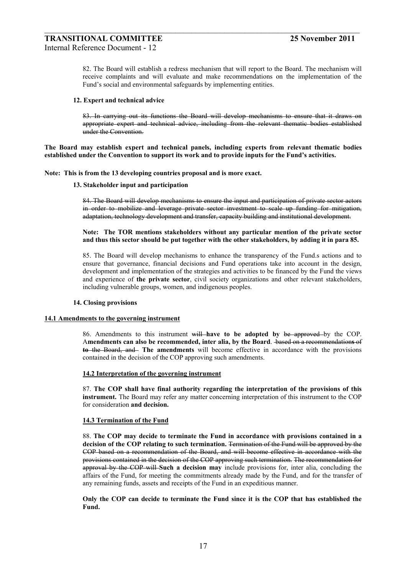82. The Board will establish a redress mechanism that will report to the Board. The mechanism will receive complaints and will evaluate and make recommendations on the implementation of the Fund's social and environmental safeguards by implementing entities.

#### **12. Expert and technical advice**

83. In carrying out its functions the Board will develop mechanisms to ensure that it draws on appropriate expert and technical advice, including from the relevant thematic bodies established under the Convention.

**The Board may establish expert and technical panels, including experts from relevant thematic bodies**  established under the Convention to support its work and to provide inputs for the Fund's activities.

 $\_$  , and the contribution of the contribution of  $\mathcal{L}_\mathcal{A}$  , and the contribution of  $\mathcal{L}_\mathcal{A}$ 

**Note: This is from the 13 developing countries proposal and is more exact.** 

#### **13. Stakeholder input and participation**

84. The Board will develop mechanisms to ensure the input and participation of private sector actors in order to mobilize and leverage private sector investment to scale up funding for mitigation, adaptation, technology development and transfer, capacity building and institutional development.

#### **Note: The TOR mentions stakeholders without any particular mention of the private sector and thus this sector should be put together with the other stakeholders, by adding it in para 85.**

85. The Board will develop mechanisms to enhance the transparency of the Fund.s actions and to ensure that governance, financial decisions and Fund operations take into account in the design, development and implementation of the strategies and activities to be financed by the Fund the views and experience of **the private sector**, civil society organizations and other relevant stakeholders, including vulnerable groups, women, and indigenous peoples.

#### **14. Closing provisions**

#### **14.1 Amendments to the governing instrument**

86. Amendments to this instrument will **have to be adopted by** be approved by the COP. A**mendments can also be recommended, inter alia, by the Board**. based on a recommendation**s** of **to** the Board, and **The amendments** will become effective in accordance with the provisions contained in the decision of the COP approving such amendments.

#### **14.2 Interpretation of the governing instrument**

87. **The COP shall have final authority regarding the interpretation of the provisions of this instrument.** The Board may refer any matter concerning interpretation of this instrument to the COP for consideration **and decision.** 

#### **14.3 Termination of the Fund**

88. **The COP may decide to terminate the Fund in accordance with provisions contained in a decision of the COP relating to such termination.** Termination of the Fund will be approved by the COP based on a recommendation of the Board, and will become effective in accordance with the provisions contained in the decision of the COP approving such termination. The recommendation for approval by the COP will **Such a decision may** include provisions for, inter alia, concluding the affairs of the Fund, for meeting the commitments already made by the Fund, and for the transfer of any remaining funds, assets and receipts of the Fund in an expeditious manner.

**Only the COP can decide to terminate the Fund since it is the COP that has established the Fund.**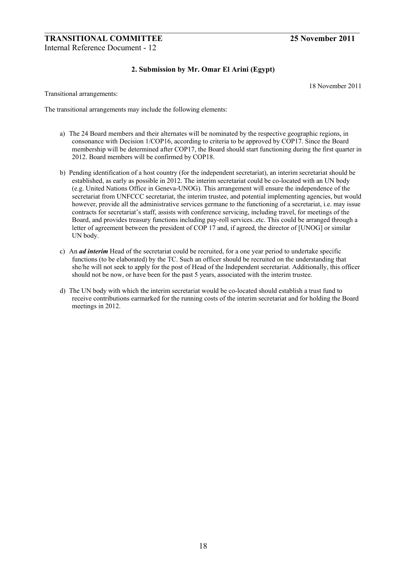# **2. Submission by Mr. Omar El Arini (Egypt)**

 $\_$  , and the contribution of the contribution of  $\mathcal{L}_\mathcal{A}$  , and the contribution of  $\mathcal{L}_\mathcal{A}$ 

18 November 2011

Transitional arrangements:

The transitional arrangements may include the following elements:

- a) The 24 Board members and their alternates will be nominated by the respective geographic regions, in consonance with Decision 1/COP16, according to criteria to be approved by COP17. Since the Board membership will be determined after COP17, the Board should start functioning during the first quarter in 2012. Board members will be confirmed by COP18.
- b) Pending identification of a host country (for the independent secretariat), an interim secretariat should be established, as early as possible in 2012. The interim secretariat could be co-located with an UN body (e.g. United Nations Office in Geneva-UNOG). This arrangement will ensure the independence of the secretariat from UNFCCC secretariat, the interim trustee, and potential implementing agencies, but would however, provide all the administrative services germane to the functioning of a secretariat, i.e. may issue contracts for secretariat's staff, assists with conference servicing, including travel, for meetings of the Board, and provides treasury functions including pay-roll services..etc. This could be arranged through a letter of agreement between the president of COP 17 and, if agreed, the director of [UNOG] or similar UN body.
- c) An *ad interim* Head of the secretariat could be recruited, for a one year period to undertake specific functions (to be elaborated) by the TC. Such an officer should be recruited on the understanding that she/he will not seek to apply for the post of Head of the Independent secretariat. Additionally, this officer should not be now, or have been for the past 5 years, associated with the interim trustee.
- d) The UN body with which the interim secretariat would be co-located should establish a trust fund to receive contributions earmarked for the running costs of the interim secretariat and for holding the Board meetings in 2012.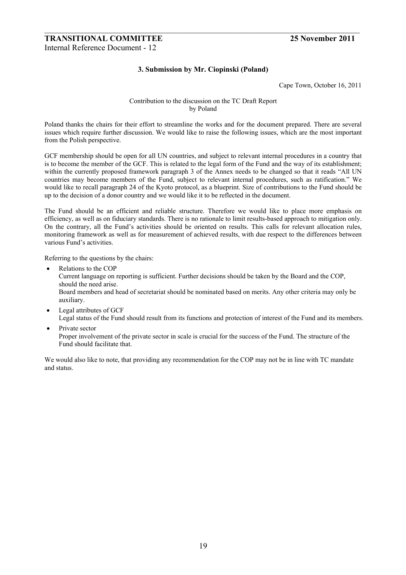# **3. Submission by Mr. Ciopinski (Poland)**

 $\_$  , and the contribution of the contribution of  $\mathcal{L}_\mathcal{A}$  , and the contribution of  $\mathcal{L}_\mathcal{A}$ 

Cape Town, October 16, 2011

### Contribution to the discussion on the TC Draft Report by Poland

Poland thanks the chairs for their effort to streamline the works and for the document prepared. There are several issues which require further discussion. We would like to raise the following issues, which are the most important from the Polish perspective.

GCF membership should be open for all UN countries, and subject to relevant internal procedures in a country that is to become the member of the GCF. This is related to the legal form of the Fund and the way of its establishment; within the currently proposed framework paragraph 3 of the Annex needs to be changed so that it reads "All UN countries may become members of the Fund, subject to relevant internal procedures, such as ratification." We would like to recall paragraph 24 of the Kyoto protocol, as a blueprint. Size of contributions to the Fund should be up to the decision of a donor country and we would like it to be reflected in the document.

The Fund should be an efficient and reliable structure. Therefore we would like to place more emphasis on efficiency, as well as on fiduciary standards. There is no rationale to limit results-based approach to mitigation only. On the contrary, all the Fund's activities should be oriented on results. This calls for relevant allocation rules, monitoring framework as well as for measurement of achieved results, with due respect to the differences between various Fund's activities.

Referring to the questions by the chairs:

- Relations to the COP Current language on reporting is sufficient. Further decisions should be taken by the Board and the COP, should the need arise. Board members and head of secretariat should be nominated based on merits. Any other criteria may only be auxiliary.
- Legal attributes of GCF

Legal status of the Fund should result from its functions and protection of interest of the Fund and its members.

Private sector Proper involvement of the private sector in scale is crucial for the success of the Fund. The structure of the Fund should facilitate that.

We would also like to note, that providing any recommendation for the COP may not be in line with TC mandate and status.